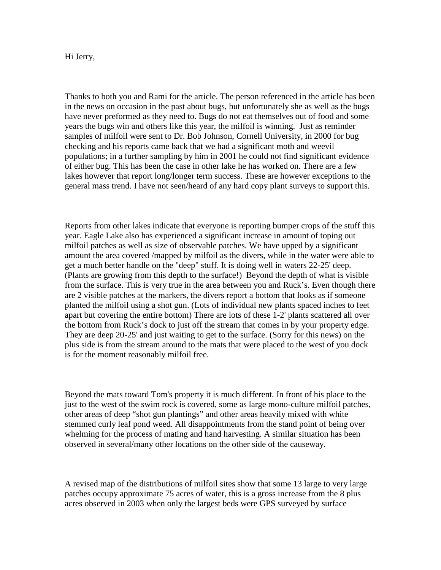Hi Jerry,

Thanks to both you and Rami for the article. The person referenced in the article has been in the news on occasion in the past about bugs, but unfortunately she as well as the bugs have never preformed as they need to. Bugs do not eat themselves out of food and some years the bugs win and others like this year, the milfoil is winning. Just as reminder samples of milfoil were sent to Dr. Bob Johnson, Cornell University, in 2000 for bug checking and his reports came back that we had a significant moth and weevil populations; in a further sampling by him in 2001 he could not find significant evidence of either bug. This has been the case in other lake he has worked on. There are a few lakes however that report long/longer term success. These are however exceptions to the general mass trend. I have not seen/heard of any hard copy plant surveys to support this.

Reports from other lakes indicate that everyone is reporting bumper crops of the stuff this year. Eagle Lake also has experienced a significant increase in amount of toping out milfoil patches as well as size of observable patches. We have upped by a significant amount the area covered /mapped by milfoil as the divers, while in the water were able to get a much better handle on the "deep" stuff. It is doing well in waters 22-25' deep. (Plants are growing from this depth to the surface!) Beyond the depth of what is visible from the surface. This is very true in the area between you and Ruck's. Even though there are 2 visible patches at the markers, the divers report a bottom that looks as if someone planted the milfoil using a shot gun. (Lots of individual new plants spaced inches to feet apart but covering the entire bottom) There are lots of these 1-2' plants scattered all over the bottom from Ruck's dock to just off the stream that comes in by your property edge. They are deep 20-25' and just waiting to get to the surface. (Sorry for this news) on the plus side is from the stream around to the mats that were placed to the west of you dock is for the moment reasonably milfoil free.

Beyond the mats toward Tom's property it is much different. In front of his place to the just to the west of the swim rock is covered, some as large mono-culture milfoil patches, other areas of deep "shot gun plantings" and other areas heavily mixed with white stemmed curly leaf pond weed. All disappointments from the stand point of being over whelming for the process of mating and hand harvesting. A similar situation has been observed in several/many other locations on the other side of the causeway.

A revised map of the distributions of milfoil sites show that some 13 large to very large patches occupy approximate 75 acres of water, this is a gross increase from the 8 plus acres observed in 2003 when only the largest beds were GPS surveyed by surface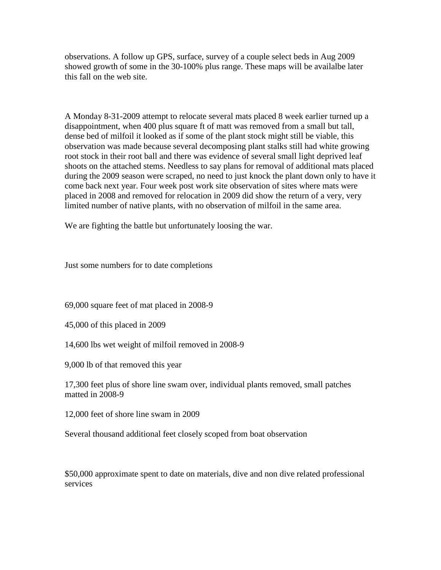observations. A follow up GPS, surface, survey of a couple select beds in Aug 2009 showed growth of some in the 30-100% plus range. These maps will be availalbe later this fall on the web site.

A Monday 8-31-2009 attempt to relocate several mats placed 8 week earlier turned up a disappointment, when 400 plus square ft of matt was removed from a small but tall, dense bed of milfoil it looked as if some of the plant stock might still be viable, this observation was made because several decomposing plant stalks still had white growing root stock in their root ball and there was evidence of several small light deprived leaf shoots on the attached stems. Needless to say plans for removal of additional mats placed during the 2009 season were scraped, no need to just knock the plant down only to have it come back next year. Four week post work site observation of sites where mats were placed in 2008 and removed for relocation in 2009 did show the return of a very, very limited number of native plants, with no observation of milfoil in the same area.

We are fighting the battle but unfortunately loosing the war.

Just some numbers for to date completions

69,000 square feet of mat placed in 2008-9

45,000 of this placed in 2009

14,600 lbs wet weight of milfoil removed in 2008-9

9,000 lb of that removed this year

17,300 feet plus of shore line swam over, individual plants removed, small patches matted in 2008-9

12,000 feet of shore line swam in 2009

Several thousand additional feet closely scoped from boat observation

\$50,000 approximate spent to date on materials, dive and non dive related professional services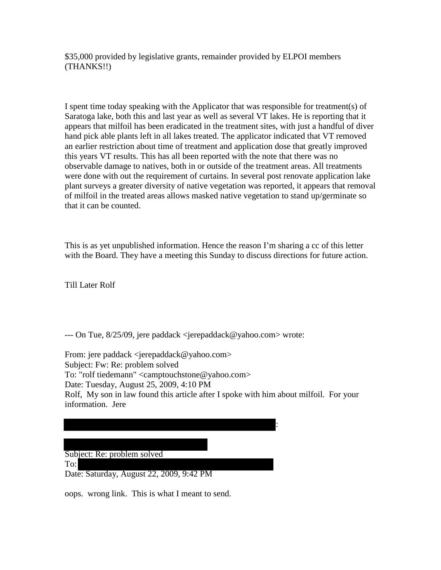\$35,000 provided by legislative grants, remainder provided by ELPOI members (THANKS!!)

I spent time today speaking with the Applicator that was responsible for treatment(s) of Saratoga lake, both this and last year as well as several VT lakes. He is reporting that it appears that milfoil has been eradicated in the treatment sites, with just a handful of diver hand pick able plants left in all lakes treated. The applicator indicated that VT removed an earlier restriction about time of treatment and application dose that greatly improved this years VT results. This has all been reported with the note that there was no observable damage to natives, both in or outside of the treatment areas. All treatments were done with out the requirement of curtains. In several post renovate application lake plant surveys a greater diversity of native vegetation was reported, it appears that removal of milfoil in the treated areas allows masked native vegetation to stand up/germinate so that it can be counted.

This is as yet unpublished information. Hence the reason I'm sharing a cc of this letter with the Board. They have a meeting this Sunday to discuss directions for future action.

Till Later Rolf

--- On Tue, 8/25/09, jere paddack <jerepaddack@yahoo.com> wrote:

From: jere paddack <jerepaddack@yahoo.com> Subject: Fw: Re: problem solved To: "rolf tiedemann" <camptouchstone@yahoo.com> Date: Tuesday, August 25, 2009, 4:10 PM Rolf, My son in law found this article after I spoke with him about milfoil. For your information. Jere



oops. wrong link. This is what I meant to send.